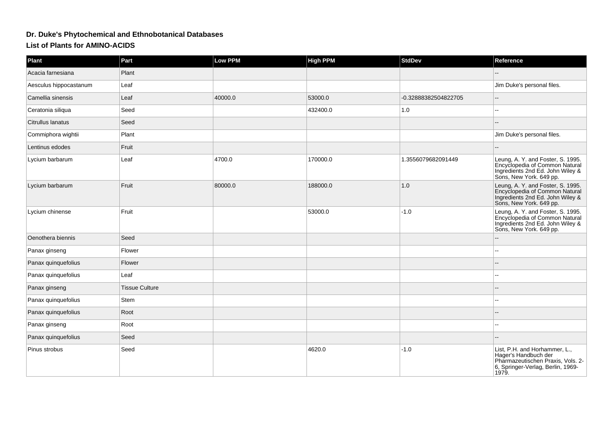## **Dr. Duke's Phytochemical and Ethnobotanical Databases**

**List of Plants for AMINO-ACIDS**

| Plant                  | Part                  | <b>Low PPM</b> | <b>High PPM</b> | StdDev               | Reference                                                                                                                                |
|------------------------|-----------------------|----------------|-----------------|----------------------|------------------------------------------------------------------------------------------------------------------------------------------|
| Acacia farnesiana      | Plant                 |                |                 |                      |                                                                                                                                          |
| Aesculus hippocastanum | Leaf                  |                |                 |                      | Jim Duke's personal files.                                                                                                               |
| Camellia sinensis      | Leaf                  | 40000.0        | 53000.0         | -0.32888382504822705 |                                                                                                                                          |
| Ceratonia siliqua      | Seed                  |                | 432400.0        | $1.0$                |                                                                                                                                          |
| Citrullus lanatus      | Seed                  |                |                 |                      |                                                                                                                                          |
| Commiphora wightii     | Plant                 |                |                 |                      | Jim Duke's personal files.                                                                                                               |
| Lentinus edodes        | Fruit                 |                |                 |                      |                                                                                                                                          |
| Lycium barbarum        | Leaf                  | 4700.0         | 170000.0        | 1.3556079682091449   | Leung, A. Y. and Foster, S. 1995.<br>Encyclopedia of Common Natural<br>Ingredients 2nd Ed. John Wiley &<br>Sons, New York. 649 pp.       |
| Lycium barbarum        | Fruit                 | 80000.0        | 188000.0        | 1.0                  | Leung, A. Y. and Foster, S. 1995.<br>Encyclopedia of Common Natural<br>Ingredients 2nd Ed. John Wiley &<br>Sons, New York. 649 pp.       |
| Lycium chinense        | Fruit                 |                | 53000.0         | $-1.0$               | Leung, A. Y. and Foster, S. 1995.<br>Encyclopedia of Common Natural<br>Ingredients 2nd Ed. John Wiley &<br>Sons, New York. 649 pp.       |
| Oenothera biennis      | Seed                  |                |                 |                      |                                                                                                                                          |
| Panax ginseng          | Flower                |                |                 |                      |                                                                                                                                          |
| Panax quinquefolius    | Flower                |                |                 |                      |                                                                                                                                          |
| Panax quinquefolius    | Leaf                  |                |                 |                      |                                                                                                                                          |
| Panax ginseng          | <b>Tissue Culture</b> |                |                 |                      |                                                                                                                                          |
| Panax quinquefolius    | Stem                  |                |                 |                      |                                                                                                                                          |
| Panax quinquefolius    | Root                  |                |                 |                      |                                                                                                                                          |
| Panax ginseng          | Root                  |                |                 |                      |                                                                                                                                          |
| Panax quinquefolius    | Seed                  |                |                 |                      |                                                                                                                                          |
| Pinus strobus          | Seed                  |                | 4620.0          | $-1.0$               | List, P.H. and Horhammer, L.,<br>Hager's Handbuch der<br>Pharmazeutischen Praxis, Vols. 2-<br>6, Springer-Verlag, Berlin, 1969-<br>1979. |